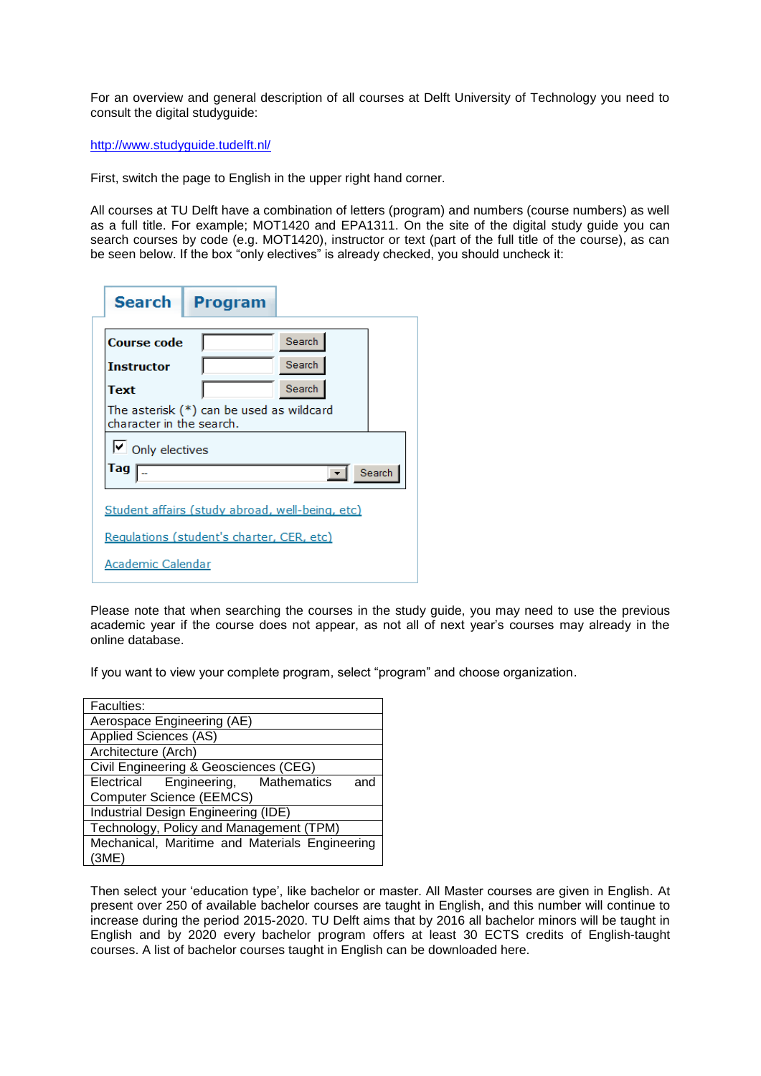For an overview and general description of all courses at Delft University of Technology you need to consult the digital studyguide:

<http://www.studyguide.tudelft.nl/>

First, switch the page to English in the upper right hand corner.

All courses at TU Delft have a combination of letters (program) and numbers (course numbers) as well as a full title. For example; MOT1420 and EPA1311. On the site of the digital study guide you can search courses by code (e.g. MOT1420), instructor or text (part of the full title of the course), as can be seen below. If the box "only electives" is already checked, you should uncheck it:

| Search                                                                 | Program |        |  |
|------------------------------------------------------------------------|---------|--------|--|
| <b>Course code</b>                                                     |         | Search |  |
| <b>Instructor</b>                                                      |         | Search |  |
| Text                                                                   |         | Search |  |
| The asterisk $(*)$ can be used as wildcard<br>character in the search. |         |        |  |
| $\triangleright$ Only electives                                        |         |        |  |
| Tag<br>Search<br>$\blacktriangledown$                                  |         |        |  |
| Student affairs (study abroad, well-being, etc)                        |         |        |  |
| Requlations (student's charter, CER, etc)                              |         |        |  |
| Academic Calendar                                                      |         |        |  |

Please note that when searching the courses in the study guide, you may need to use the previous academic year if the course does not appear, as not all of next year's courses may already in the online database.

If you want to view your complete program, select "program" and choose organization.

| Faculties:                                     |  |  |  |
|------------------------------------------------|--|--|--|
| Aerospace Engineering (AE)                     |  |  |  |
| Applied Sciences (AS)                          |  |  |  |
| Architecture (Arch)                            |  |  |  |
| Civil Engineering & Geosciences (CEG)          |  |  |  |
| Electrical Engineering, Mathematics<br>and     |  |  |  |
| <b>Computer Science (EEMCS)</b>                |  |  |  |
| Industrial Design Engineering (IDE)            |  |  |  |
| Technology, Policy and Management (TPM)        |  |  |  |
| Mechanical, Maritime and Materials Engineering |  |  |  |
| (3ME)                                          |  |  |  |

Then select your 'education type', like bachelor or master. All Master courses are given in English. At present over 250 of available bachelor courses are taught in English, and this number will continue to increase during the period 2015-2020. TU Delft aims that by 2016 all bachelor minors will be taught in English and by 2020 every bachelor program offers at least 30 ECTS credits of English-taught courses. A list of bachelor courses taught in English can be downloaded here.